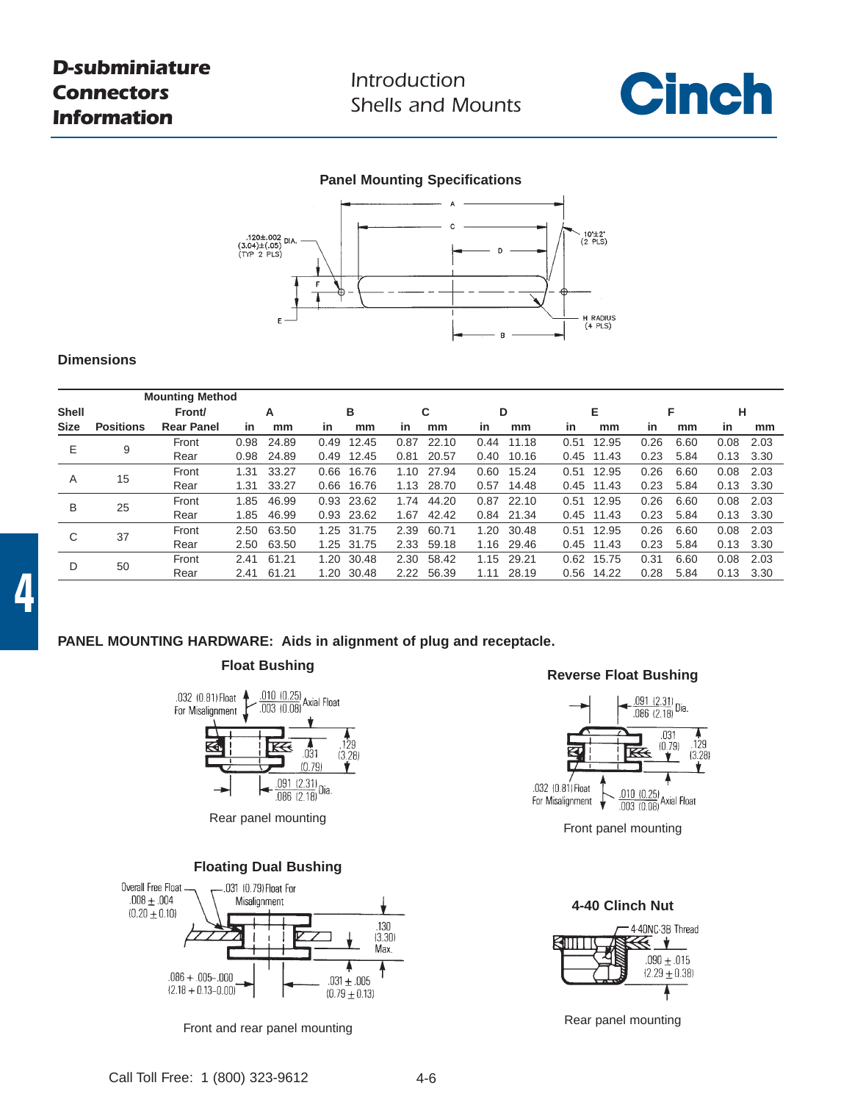*Introduction Shells and Mounts*



## **Panel Mounting Specifications**



### **Dimensions**

|              |                  | <b>Mounting Method</b> |      |       |      |            |      |       |      |            |      |            |      |      |      |        |  |
|--------------|------------------|------------------------|------|-------|------|------------|------|-------|------|------------|------|------------|------|------|------|--------|--|
| <b>Shell</b> |                  | Front/                 |      | Α     |      | в          |      | C     |      | D          |      | Е          |      | F    |      | н      |  |
| <b>Size</b>  | <b>Positions</b> | <b>Rear Panel</b>      | in   | mm    | in   | mm         | in   | mm    | in   | mm         | in   | mm         | in   | mm   | in   | mm     |  |
| E.           | 9                | Front                  | 0.98 | 24.89 | 0.49 | 12.45      | 0.87 | 22.10 | 0.44 | 11.18      | 0.51 | 12.95      | 0.26 | 6.60 | 0.08 | 2.03   |  |
|              |                  | Rear                   | 0.98 | 24.89 |      | 0.49 12.45 | 0.81 | 20.57 | 0.40 | 10.16      |      | 0.45 11.43 | 0.23 | 5.84 | 0.13 | - 3.30 |  |
| A            | 15               | Front                  | 1.31 | 33.27 | 0.66 | 16.76      | 1.10 | 27.94 | 0.60 | 15.24      | 0.51 | 12.95      | 0.26 | 6.60 | 0.08 | 2.03   |  |
|              |                  | Rear                   | 1.31 | 33.27 |      | 0.66 16.76 | 1.13 | 28.70 | 0.57 | 14.48      |      | 0.45 11.43 | 0.23 | 5.84 | 0.13 | 3.30   |  |
| B            | 25               | Front                  | 1.85 | 46.99 |      | 0.93 23.62 | 1.74 | 44.20 | 0.87 | 22.10      | 0.51 | 12.95      | 0.26 | 6.60 | 0.08 | 2.03   |  |
|              |                  | Rear                   | 1.85 | 46.99 |      | 0.93 23.62 | 1.67 | 42.42 |      | 0.84 21.34 |      | 0.45 11.43 | 0.23 | 5.84 | 0.13 | 3.30   |  |
| C            | 37               | Front                  | 2.50 | 63.50 |      | 1.25 31.75 | 2.39 | 60.71 | 1.20 | 30.48      | 0.51 | 12.95      | 0.26 | 6.60 | 0.08 | 2.03   |  |
|              |                  | Rear                   | 2.50 | 63.50 |      | 1.25 31.75 | 2.33 | 59.18 | 1.16 | 29.46      |      | 0.45 11.43 | 0.23 | 5.84 | 0.13 | 3.30   |  |
| D            | 50               | Front                  | 2.41 | 61.21 | 1.20 | 30.48      | 2.30 | 58.42 | 1.15 | 29.21      | 0.62 | 15.75      | 0.31 | 6.60 | 0.08 | 2.03   |  |
|              |                  | Rear                   | 2.41 | 61.21 | 1.20 | 30.48      | 2.22 | 56.39 | 1.11 | 28.19      | 0.56 | 14.22      | 0.28 | 5.84 | 0.13 | 3.30   |  |

### **PANEL MOUNTING HARDWARE: Aids in alignment of plug and receptacle.**



Rear panel mounting





Rear panel mounting Front and rear panel mounting



Front panel mounting